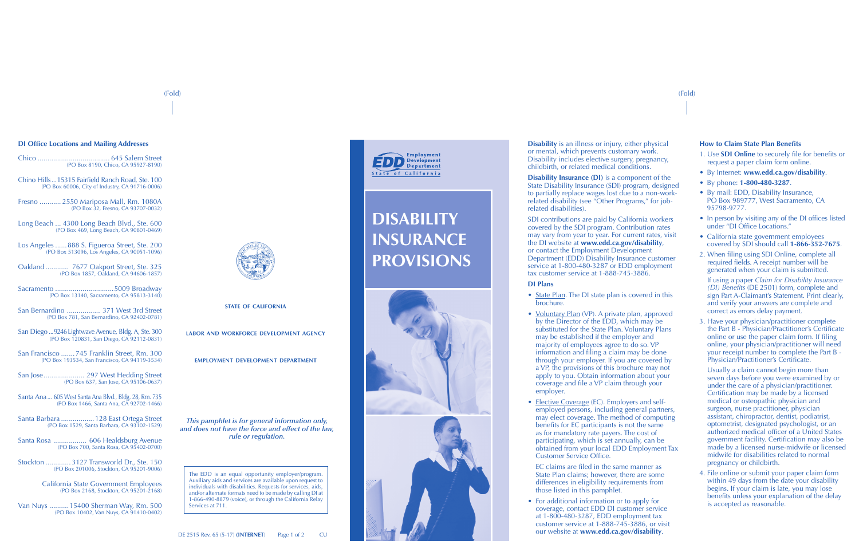#### **How to Claim State Plan Benefits**

- 1. Use **SDI Online** to securely file for benefits or request a paper claim form online.
- By Internet: **www.edd.ca.gov/disability**.
- By phone: **1-800-480-3287**.
- By mail: EDD, Disability Insurance, PO Box 989777, West Sacramento, CA 95798-9777.
- In person by visiting any of the DI offices listed under "DI Office Locations."
- California state government employees covered by SDI should call **1-866-352-7675**.
- 2. When filing using SDI Online, complete all required fields. A receipt number will be generated when your claim is submitted.

If using a paper *Claim for Disability Insurance (DI) Benefits* (DE 2501) form, complete and sign Part A-Claimant's Statement. Print clearly, and verify your answers are complete and correct as errors delay payment.

3. Have your physician/practitioner complete the Part B - Physician/Practitioner's Certificate online or use the paper claim form. If filing online, your physician/practitioner will need your receipt number to complete the Part B - Physician/Practitioner's Certificate.

**Disability Insurance (DI)** is a component of the State Disability Insurance (SDI) program, designed to partially replace wages lost due to a non-workrelated disability (see "Other Programs," for jobrelated disabilities).

> Usually a claim cannot begin more than seven days before you were examined by or under the care of a physician/practitioner. Certification may be made by a licensed medical or osteopathic physician and surgeon, nurse practitioner, physician assistant, chiropractor, dentist, podiatrist, optometrist, designated psychologist, or an authorized medical officer of a United States government facility. Certification may also be made by a licensed nurse-midwife or licensed midwife for disabilities related to normal pregnancy or childbirth.

4. File online or submit your paper claim form within 49 days from the date your disability begins. If your claim is late, you may lose benefits unless your explanation of the delay is accepted as reasonable.

The EDD is an equal opportunity employer/program. Auxiliary aids and services are available upon request to individuals with disabilities. Requests for services, aids, and/or alternate formats need to be made by calling DI at 1-866-490-8879 (voice), or through the California Relay Services at 711.



- State Plan. The DI state plan is covered in this brochure.
- Voluntary Plan (VP). A private plan, approved by the Director of the EDD, which may be substituted for the State Plan. Voluntary Plans may be established if the employer and majority of employees agree to do so. VP information and filing a claim may be done through your employer. If you are covered by a VP, the provisions of this brochure may not apply to you. Obtain information about your coverage and file a VP claim through your employer.
- Elective Coverage (EC). Employers and selfemployed persons, including general partners, may elect coverage. The method of computing benefits for EC participants is not the same as for mandatory rate payers. The cost of participating, which is set annually, can be obtained from your local EDD Employment Tax Customer Service Office.
- EC claims are filed in the same manner as State Plan claims; however, there are some differences in eligibility requirements from those listed in this pamphlet.
- For additional information or to apply for coverage, contact EDD DI customer service at 1-800-480-3287, EDD employment tax customer service at 1-888-745-3886, or visit our website at **www.edd.ca.gov/disability**.

*This pamphlet is for general information only, and does not have the force and effect of the law, rule or regulation.*

**Disability** is an illness or injury, either physical or mental, which prevents customary work. Disability includes elective surgery, pregnancy, childbirth, or related medical conditions.

SDI contributions are paid by California workers covered by the SDI program. Contribution rates may vary from year to year. For current rates, visit the DI website at **www.edd.ca.gov/disability**, or contact the Employment Development Department (EDD) Disability Insurance customer service at 1-800-480-3287 or EDD employment tax customer service at 1-888-745-3886.

#### **DI Plans**

# **DISABILITY INSURANCE PROVISIONS**



#### **DI Office Locations and Mailing Addresses**

Chico ..................................... 645 Salem Street (PO Box 8190, Chico, CA 95927-8190)

Chino Hills...15315 Fairfield Ranch Road, Ste. 100 (PO Box 60006, City of Industry, CA 91716-0006)

Fresno ........... 2550 Mariposa Mall, Rm. 1080A (PO Box 32, Fresno, CA 93707-0032)

Long Beach ... 4300 Long Beach Blvd., Ste. 600 (PO Box 469, Long Beach, CA 90801-0469)

Los Angeles ......888 S. Figueroa Street, Ste. 200 (PO Box 513096, Los Angeles, CA 90051-1096)

Oakland ............ 7677 Oakport Street, Ste. 325 (PO Box 1857, Oakland, CA 94606-1857)

Sacramento ..............................5009 Broadway (PO Box 13140, Sacramento, CA 95813-3140)

San Bernardino ................. 371 West 3rd Street (PO Box 781, San Bernardino, CA 92402-0781)

San Diego ...9246 Lightwave Avenue, Bldg. A, Ste. 300 (PO Box 120831, San Diego, CA 92112-0831)

San Francisco .......745 Franklin Street, Rm. 300 (PO Box 193534, San Francisco, CA 94119-3534)

San Jose..................... 297 West Hedding Street (PO Box 637, San Jose, CA 95106-0637)

Santa Ana... 605 West Santa Ana Blvd., Bldg. 28, Rm. 735 (PO Box 1466, Santa Ana, CA 92702-1466)

Santa Barbara .................128 East Ortega Street (PO Box 1529, Santa Barbara, CA 93102-1529)

Santa Rosa ................. 606 Healdsburg Avenue (PO Box 700, Santa Rosa, CA 95402-0700)

Stockton ............. 3127 Transworld Dr., Ste. 150 (PO Box 201006, Stockton, CA 95201-9006)

> California State Government Employees (PO Box 2168, Stockton, CA 95201-2168)

Van Nuys ..........15400 Sherman Way, Rm. 500 (PO Box 10402, Van Nuys, CA 91410-0402)



STATE OF CALIFORNIA

LABOR AND WORKFORCE DEVELOPMENT AGENCY

EMPLOYMENT DEVELOPMENT DEPARTMENT